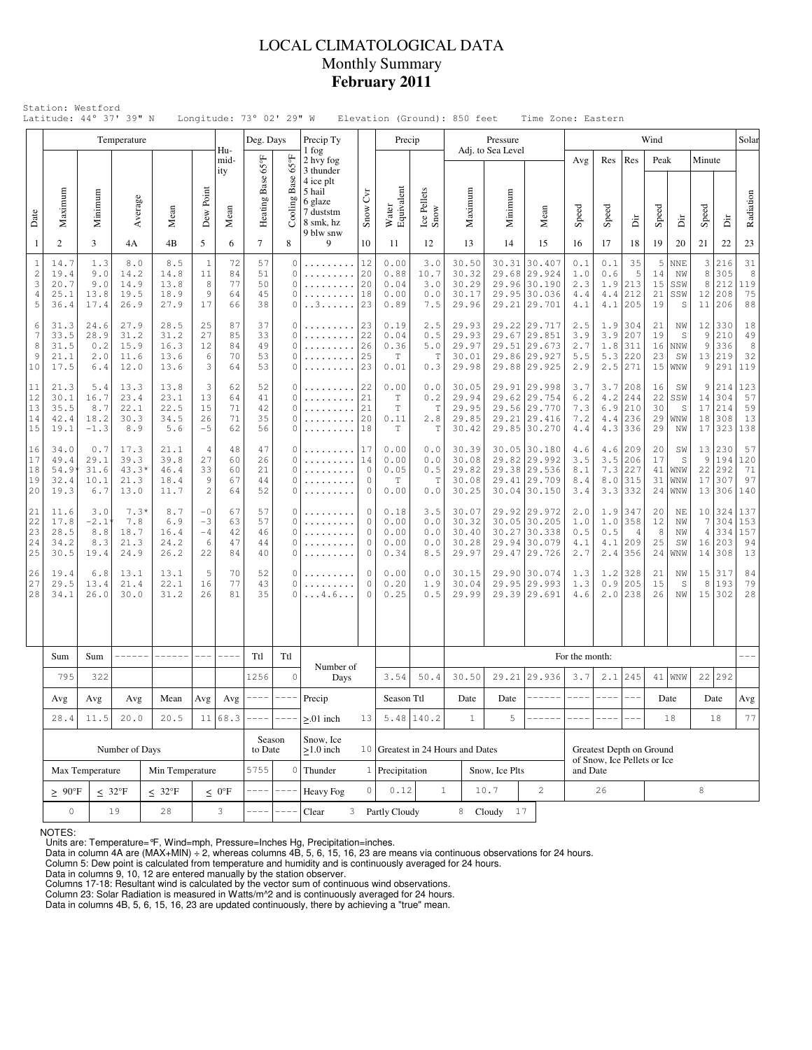# LOCAL CLIMATOLOGICAL DATA Monthly Summary **February 2011**

|                                           | Latitude: 44° 37' 39" N                             |                                      |                                       |                                      |                                      |                            | Longitude: 73° 02' 29" W   |                                                        |                                                                                                 |                                                 |                                                 | Elevation (Ground): 850 feet      |                                           |                               | Time Zone: Eastern                                                           |                                         |                                 |                                         |                            |                                     |                                       |                                    |                                  |
|-------------------------------------------|-----------------------------------------------------|--------------------------------------|---------------------------------------|--------------------------------------|--------------------------------------|----------------------------|----------------------------|--------------------------------------------------------|-------------------------------------------------------------------------------------------------|-------------------------------------------------|-------------------------------------------------|-----------------------------------|-------------------------------------------|-------------------------------|------------------------------------------------------------------------------|-----------------------------------------|---------------------------------|-----------------------------------------|----------------------------|-------------------------------------|---------------------------------------|------------------------------------|----------------------------------|
|                                           |                                                     |                                      | Temperature                           |                                      |                                      | Hu-                        | Deg. Days                  |                                                        | Precip Ty<br>1 fog                                                                              |                                                 | Precip                                          |                                   |                                           | Pressure<br>Adj. to Sea Level |                                                                              |                                         |                                 |                                         | Wind                       |                                     |                                       |                                    | Solar                            |
| Date                                      | Maximum                                             | Minimum                              | Average                               | Mean                                 | Dew Point                            | mid-<br>ity<br>Mean        | Heating Base 65°F          | $65^{\circ}$ F<br>Cooling Base                         | 2 hvy fog<br>3 thunder<br>4 ice plt<br>5 hail<br>6 glaze<br>7 duststm<br>8 smk, hz<br>9 blw snw | $\zeta_{\text{V}}$<br>Snow \                    | Water<br>Equivalent                             | Ice Pellets<br>Snow               | Maximum                                   | Minimum                       | Mean                                                                         | Avg<br>Speed                            | Res<br>Speed                    | Res<br>ä                                | Peak<br>Speed              | Δr                                  | Minute<br>Speed                       | İï                                 | Radiation                        |
| $\mathbf{1}$                              | $\overline{c}$                                      | 3                                    | 4A                                    | 4B                                   | 5                                    | 6                          | $\overline{7}$             | 8                                                      | 9                                                                                               | 10                                              | 11<br>0.00                                      | 12                                | 13                                        | 14                            | 15                                                                           | 16                                      | 17                              | 18                                      | 19                         | 20                                  | 21                                    | 22                                 | 23                               |
| $\mathbf{1}$<br>$\sqrt{2}$<br>3<br>4<br>5 | 14.7<br>19.4<br>20.7<br>25.1<br>36.4                | 1.3<br>9.0<br>9.0<br>13.8<br>17.4    | 8.0<br>14.2<br>14.9<br>19.5<br>26.9   | 8.5<br>14.8<br>13.8<br>18.9<br>27.9  | $\mathbf{1}$<br>11<br>8<br>9<br>17   | 72<br>84<br>77<br>64<br>66 | 57<br>51<br>50<br>45<br>38 | $\mathbf{0}$<br>$\mathbf{0}$<br>$\mathbf{0}$<br>0<br>0 | .<br>. . 3                                                                                      | 12<br>20<br>20<br>18<br>23                      |                                                 | 3.0<br>10.7<br>3.0<br>0.0<br>7.5  | 30.50<br>30.32<br>30.29<br>30.17<br>29.96 | 30.31<br>29.68                | 30.407<br>29.924<br>29.96 30.190<br>29.95 30.036<br>29.21 29.701             | 0.1<br>1.0<br>2.3<br>4.4<br>4.1         | 0.1<br>0.6<br>1.9<br>4.4<br>4.1 | 35<br>5<br>213<br>212<br>205            | 5<br>14<br>15<br>21<br>19  | <b>NNE</b><br>NW<br>SSW<br>SSW<br>S | 3<br>8<br>8<br>12<br>11               | 216<br>305<br>212<br>208<br>206    | 31<br>$\,8\,$<br>119<br>75<br>88 |
| 6<br>$\overline{7}$<br>8<br>9<br>10       | 31.3<br>33.5<br>31.5<br>21.1<br>17.5                | 24.6<br>28.9<br>0.2<br>2.0<br>6.4    | 27.9<br>31.2<br>15.9<br>11.6<br>12.0  | 28.5<br>31.2<br>16.3<br>13.6<br>13.6 | 25<br>27<br>12<br>6<br>3             | 87<br>85<br>84<br>70<br>64 | 37<br>33<br>49<br>53<br>53 | $\Omega$<br>$\mathbf{0}$<br>$\Omega$<br>0<br>0         | .<br>.                                                                                          | 23<br>22<br>26<br>25<br>23                      | 0.19<br>0.04<br>0.36<br>Τ<br>0.01               | 2.5<br>0.5<br>5.0<br>T<br>0.3     | 29.93<br>29.93<br>29.97<br>30.01<br>29.98 | 29.86                         | 29.22 29.717<br>29.67 29.851<br>29.51 29.673<br>29.927<br>29.88 29.925       | 2.5<br>3.9<br>2.7<br>5.5<br>2.9         | 1.9<br>3.9<br>1.8<br>5.3<br>2.5 | 304<br>207<br>311<br>220<br>271         | 21<br>19<br>16<br>23<br>15 | ΝW<br>S<br><b>NNW</b><br>SW<br>WNW  | 12<br>9<br>9<br>9                     | 330<br>210<br>336<br>13 219<br>291 | 18<br>49<br>8<br>32<br>119       |
| 11<br>12<br>13<br>14<br>15                | 21.3<br>30.1<br>35.5<br>42.4<br>19.1                | 5.4<br>16.7<br>8.7<br>18.2<br>$-1.3$ | 13.3<br>23.4<br>22.1<br>30.3<br>8.9   | 13.8<br>23.1<br>22.5<br>34.5<br>5.6  | 3<br>13<br>15<br>26<br>$-5$          | 62<br>64<br>71<br>71<br>62 | 52<br>41<br>42<br>35<br>56 | 0<br>$\Omega$<br>0<br>$\mathbf{0}$<br>0                | .<br>.<br>.<br>.                                                                                | 22<br>21<br>21<br>20<br>18                      | 0.00<br>$\mathbb T$<br>T<br>0.11<br>$\mathbb T$ | 0.0<br>0.2<br>T<br>2.8<br>T       | 30.05<br>29.94<br>29.95<br>29.85<br>30.42 |                               | 29.91 29.998<br>29.62 29.754<br>29.56 29.770<br>29.21 29.416<br>29.85 30.270 | 3.7<br>6.2<br>7.3<br>7.2<br>4.4         | 3.7<br>4.2<br>6.9<br>4.4<br>4.3 | 208<br>244<br>210<br>236<br>336         | 16<br>22<br>30<br>29<br>29 | SW<br>SSW<br>S<br>WNW<br>NW         | 9<br>14<br>17<br>18<br>17             | 214<br>304<br>214<br>308<br>323    | 123<br>57<br>59<br>13<br>138     |
| 16<br>17<br>18<br>19<br>20                | 34.0<br>49.4<br>54.9<br>32.4<br>19.3                | 0.7<br>29.1<br>31.6<br>10.1<br>6.7   | 17.3<br>39.3<br>43.3*<br>21.3<br>13.0 | 21.1<br>39.8<br>46.4<br>18.4<br>11.7 | 4<br>27<br>33<br>9<br>$\overline{c}$ | 48<br>60<br>60<br>67<br>64 | 47<br>26<br>21<br>44<br>52 | $\Omega$<br>$\mathbf{0}$<br>0<br>0<br>$\mathbf{0}$     | .                                                                                               | 17<br>14<br>$\circ$<br>$\circ$<br>$\circ$       | 0.00<br>0.00<br>0.05<br>$\mathbb T$<br>0.00     | 0.0<br>0.0<br>0.5<br>T<br>0.0     | 30.39<br>30.08<br>29.82<br>30.08<br>30.25 |                               | 30.05 30.180<br>29.82 29.992<br>29.38 29.536<br>29.41 29.709<br>30.04 30.150 | 4.6<br>3.5<br>8.1<br>8.4<br>3.4         | 4.6<br>3.5<br>7.3<br>3.3        | 209<br>206<br>227<br>$8.0$   315<br>332 | 20<br>17<br>41<br>31<br>24 | SW<br>S<br><b>WNW</b><br>WNW<br>WNW | 13<br>9<br>22<br>17                   | 230<br>194<br>292<br>307<br>13 306 | 57<br>120<br>71<br>97<br>140     |
| 21<br>22<br>23<br>24<br>25                | 11.6<br>17.8<br>28.5<br>34.2<br>30.5                | 3.0<br>$-2.1$<br>8.8<br>8.3<br>19.4  | $7.3*$<br>7.8<br>18.7<br>21.3<br>24.9 | 8.7<br>6.9<br>16.4<br>24.2<br>26.2   | $-0$<br>$-3$<br>$-4$<br>6<br>22      | 67<br>63<br>42<br>47<br>84 | 57<br>57<br>46<br>44<br>40 | 0<br>$\mathbf{0}$<br>0<br>0<br>$\Omega$                |                                                                                                 | $\circ$<br>$\Omega$<br>$\circ$<br>0<br>$\theta$ | 0.18<br>0.00<br>0.00<br>0.00<br>0.34            | 3.5<br>0.0<br>0.0<br>0.0<br>8.5   | 30.07<br>30.32<br>30.40<br>30.28<br>29.97 |                               | 29.92 29.972<br>30.05 30.205<br>30.27 30.338<br>29.94 30.079<br>29.47 29.726 | 2.0<br>1.0<br>0.5<br>4.1<br>2.7         | 1.9<br>1.0<br>0.5<br>4.1<br>2.4 | 347<br>358<br>4<br>209<br>356           | 20<br>12<br>8<br>25<br>24  | ΝE<br>NW<br>NW<br>SW<br>WNW         | 10<br>$\overline{7}$<br>4<br>16<br>14 | 324<br>304<br>334<br>203<br>308    | 137<br>153<br>157<br>94<br>13    |
| 26<br>27<br>28                            | 19.4<br>29.5<br>34.1                                | 6.8<br>13.4<br>26.0                  | 13.1<br>21.4<br>30.0                  | 13.1<br>22.1<br>31.2                 | 5<br>16<br>26                        | 70<br>77<br>81             | 52<br>43<br>35             | 0<br>$\mathbf{0}$<br>$\Omega$                          | .<br>$\dots$ 4.6                                                                                | $\circ$<br>$\circ$<br>$\Omega$                  | 0.00<br>0.20<br>0.25                            | 0.0<br>1.9<br>0.5                 | 30.15<br>30.04<br>29.99                   | 29.90<br>29.95                | 30.074<br>29.993<br>29.39 29.691                                             | 1.3<br>1.3<br>4.6                       | 1.2<br>0.9                      | 328<br>205<br>$2.0$  238                | 21<br>15<br>26             | ΝW<br>S<br>NW                       | 15<br>8<br>15                         | 317<br>193<br>302                  | 84<br>79<br>28                   |
|                                           | Sum                                                 | Sum                                  | ------                                | $------ -$                           | $---$                                | $--- - -$                  | Ttl                        | Ttl                                                    |                                                                                                 |                                                 |                                                 |                                   |                                           |                               |                                                                              | For the month:                          |                                 |                                         |                            |                                     |                                       |                                    |                                  |
|                                           | 795                                                 | 322                                  |                                       |                                      |                                      |                            | 1256                       | $\mathbf 0$                                            | Number of<br>Days                                                                               |                                                 | 3.54                                            | 50.4                              | 30.50                                     |                               | 29.21 29.936                                                                 | $3.7\,$                                 | 2.1                             | 245                                     |                            | $41 $ WNW                           | 22                                    | 292                                |                                  |
|                                           | Avg<br>$\operatorname{Avg}$<br>$\operatorname{Avg}$ |                                      |                                       | Mean                                 |                                      | $Avg$ $Avg$                | $--- - -$                  | ----                                                   | Precip                                                                                          |                                                 | Season Ttl                                      |                                   | Date                                      | Date $ $                      | $------ -$                                                                   | $--- 1$                                 | $- - - -$                       | $---$                                   |                            | Date                                |                                       | Date                               | Avg                              |
|                                           | 28.4                                                | 11.5                                 | 20.0                                  | 20.5                                 |                                      | 11 68.3                    |                            | $  -$                                                  | $> 01$ inch                                                                                     | 13                                              |                                                 | $5.48$ 140.2                      | $\mathbf{1}$                              | 5                             |                                                                              |                                         |                                 |                                         |                            | 18                                  |                                       | 18                                 | 77                               |
|                                           |                                                     |                                      | Number of Days                        |                                      |                                      |                            |                            | Season<br>to Date                                      | Snow, Ice<br>$\geq$ 1.0 inch                                                                    |                                                 |                                                 | 10 Greatest in 24 Hours and Dates |                                           |                               |                                                                              |                                         | Greatest Depth on Ground        |                                         |                            |                                     |                                       |                                    |                                  |
|                                           |                                                     | Max Temperature                      |                                       | Min Temperature                      |                                      |                            | 5755                       | $\mathbb O$                                            | Thunder                                                                                         |                                                 | 1 Precipitation                                 |                                   |                                           | Snow, Ice Plts                |                                                                              | of Snow, Ice Pellets or Ice<br>and Date |                                 |                                         |                            |                                     |                                       |                                    |                                  |
|                                           | $\geq 90^{\circ}$ F                                 |                                      | $\leq 32^{\circ}F$                    | $\leq 32^{\circ}F$                   | $\leq 0$ <sup>o</sup> F              |                            |                            |                                                        | Heavy Fog                                                                                       | $\Omega$                                        | 0.12                                            |                                   | $\mathbf{1}$                              | 10.7                          | $\overline{2}$                                                               |                                         | 26                              |                                         |                            |                                     | 8                                     |                                    |                                  |
|                                           | $\mathsf{O}\xspace$                                 |                                      | 19                                    | 28<br>3                              |                                      |                            |                            |                                                        | Clear                                                                                           |                                                 | 3 Partly Cloudy                                 |                                   |                                           | 8 Cloudy 17                   |                                                                              |                                         |                                 |                                         |                            |                                     |                                       |                                    |                                  |

NOTES:

Units are: Temperature=°F, Wind=mph, Pressure=Inches Hg, Precipitation=inches. Data in column 4A are (MAX+MIN) ÷ 2, whereas columns 4B, 5, 6, 15, 16, 23 are means via continuous observations for 24 hours.

Column 5: Dew point is calculated from temperature and humidity and is continuously averaged for 24 hours. Data in columns 9, 10, 12 are entered manually by the station observer.

Columns 17-18: Resultant wind is calculated by the vector sum of continuous wind observations.<br>Column 23: Solar Radiation is measured in Watts/m^2 and is continuously averaged for 24 hours.<br>Data in columns 4B, 5, 6, 15, 16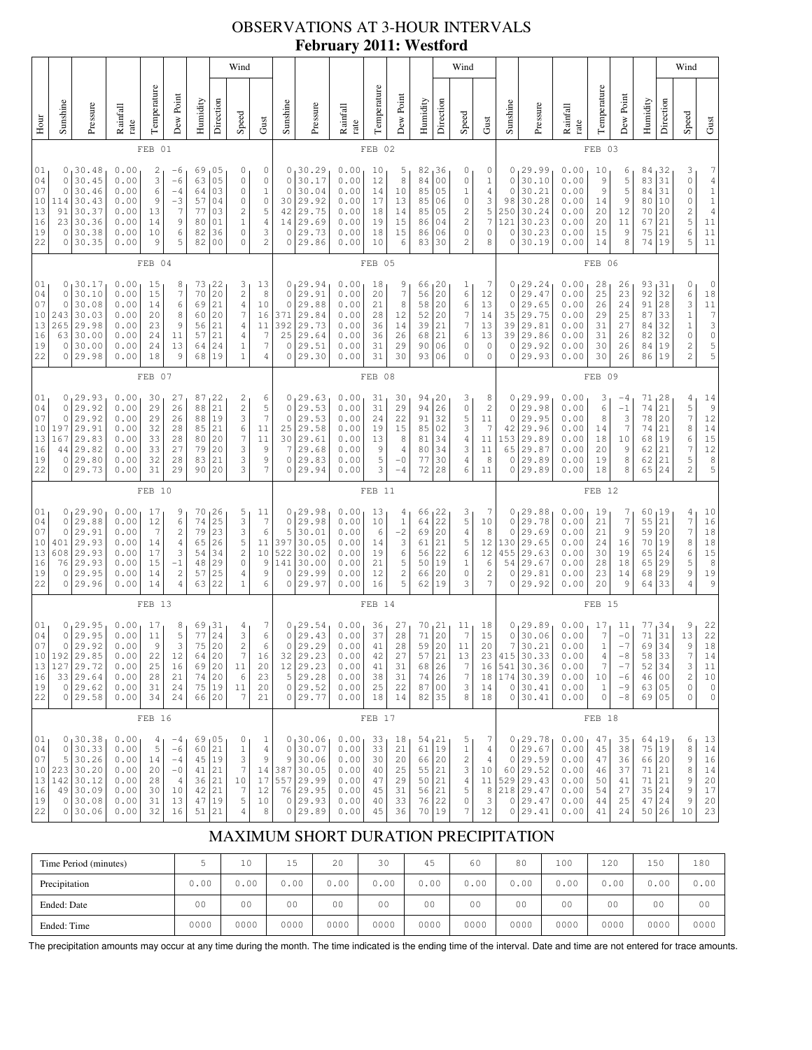# OBSERVATIONS AT 3-HOUR INTERVALS **February 2011: Westford**

| Wind                                                      |                                                                                                                                                                                                                                                                                                                                                                                                                                                                                                      |                                                                                            |                                                              |                                                |                                                                                |                                              |                                                                                      |                                                                                                    |                                                                            |                                                                         |                                                                                             |                                                              |                                              |                                                                | Wind                                                                           |                                                                                                           |                                                                                                    |                                                                         |                                                                          |                                                                                              |                                                              |                                                                            |                                                            | Wind                                                                              |                                                                             |                                                                                                                         |                                                                                                         |
|-----------------------------------------------------------|------------------------------------------------------------------------------------------------------------------------------------------------------------------------------------------------------------------------------------------------------------------------------------------------------------------------------------------------------------------------------------------------------------------------------------------------------------------------------------------------------|--------------------------------------------------------------------------------------------|--------------------------------------------------------------|------------------------------------------------|--------------------------------------------------------------------------------|----------------------------------------------|--------------------------------------------------------------------------------------|----------------------------------------------------------------------------------------------------|----------------------------------------------------------------------------|-------------------------------------------------------------------------|---------------------------------------------------------------------------------------------|--------------------------------------------------------------|----------------------------------------------|----------------------------------------------------------------|--------------------------------------------------------------------------------|-----------------------------------------------------------------------------------------------------------|----------------------------------------------------------------------------------------------------|-------------------------------------------------------------------------|--------------------------------------------------------------------------|----------------------------------------------------------------------------------------------|--------------------------------------------------------------|----------------------------------------------------------------------------|------------------------------------------------------------|-----------------------------------------------------------------------------------|-----------------------------------------------------------------------------|-------------------------------------------------------------------------------------------------------------------------|---------------------------------------------------------------------------------------------------------|
| Hour                                                      | Sunshine                                                                                                                                                                                                                                                                                                                                                                                                                                                                                             | Pressure                                                                                   | Rainfall<br>rate                                             | Temperature                                    | Dew Point                                                                      | Humidity                                     | Direction                                                                            | Speed                                                                                              | Gust                                                                       | Sunshine                                                                | Pressure                                                                                    | Rainfall<br>rate                                             | Temperature                                  | Dew Point                                                      | Humidity                                                                       | Direction                                                                                                 | Speed                                                                                              | Gust                                                                    | Sunshine                                                                 | Pressure                                                                                     | Rainfall<br>rate                                             | Temperature                                                                | Dew Point                                                  | Humidity                                                                          | Direction                                                                   | Speed                                                                                                                   | Gust                                                                                                    |
|                                                           |                                                                                                                                                                                                                                                                                                                                                                                                                                                                                                      |                                                                                            |                                                              | FEB 01                                         |                                                                                |                                              |                                                                                      |                                                                                                    |                                                                            |                                                                         |                                                                                             |                                                              | FEB 02                                       |                                                                |                                                                                |                                                                                                           |                                                                                                    |                                                                         |                                                                          |                                                                                              |                                                              | FEB 03                                                                     |                                                            |                                                                                   |                                                                             |                                                                                                                         |                                                                                                         |
| 01<br>04<br>07<br>10<br>13<br>16<br>19<br>22              | , 30.48<br>0.00<br>2<br>69<br>05<br>0<br>0<br>$-6$<br>3<br>05<br>0<br>30.45<br>0.00<br>$-6$<br>63<br>$\mathbb O$<br>$\mathbf 0$<br>30.46<br>6<br>03<br>0.00<br>$-4$<br>64<br>0<br>30.43<br>9<br>$-3$<br>114<br>0.00<br>57<br>04<br>0<br>0.00<br>$\overline{7}$<br>$\mathbf{2}$<br>91<br>30.37<br>13<br>77<br>03<br>9<br>23<br> 30.36<br>0.00<br>80<br>01<br>$\mathbf{1}$<br>14<br>6<br>0<br>0<br> 30.38<br>0.00<br>10<br>36<br>82<br>30.35<br>9<br>5<br>0<br>0.00<br>82<br>0 <sub>0</sub><br>$\circ$ |                                                                                            |                                                              |                                                |                                                                                |                                              |                                                                                      | 0<br>0<br>$\mathbf{1}$<br>$\mathbb O$<br>$\mathsf S$<br>$\overline{4}$<br>3<br>$\overline{2}$      | 0<br>$\mathbb O$<br>$\circ$<br>30 <sub>1</sub><br>42<br>$\circ$<br>$\circ$ | 30.29<br>30.17<br>30.04<br>29.92<br>29.75<br>14 29.69<br>29.73<br>29.86 | 0.00<br>0.00<br>0.00<br>0.00<br>0.00<br>0.00<br>0.00<br>0.00                                | 10<br>12<br>14<br>17<br>18<br>19<br>18<br>10                 | 5<br>8<br>10<br>13<br>14<br>15<br>15<br>6    | 82<br>84<br>85<br>85<br>85<br>86<br>86<br>83                   | 36<br>0 <sub>0</sub><br>05<br>06<br>05<br>04<br>06<br>30                       | 0<br>$\mathbb O$<br>$1\,$<br>$\mathbb O$<br>$\sqrt{2}$<br>$\overline{c}$<br>$\mathbb O$<br>$\overline{2}$ | 0<br>1<br>4<br>3<br>5<br>7<br>0<br>8                                                               | 0<br>$\mathbf{0}$<br>$\mathbf{0}$<br>98<br>121<br>0<br>0                | 29.99<br>30.10<br>30.21<br>30.28<br>250 30.24<br>30.23<br>30.23<br>30.19 | 0.00<br>0.00<br>0.00<br>0.00<br>0.00<br>0.00<br>0.00<br>0.00                                 | 10<br>9<br>9<br>14<br>20<br>20<br>15<br>14                   | 6<br>5<br>5<br>9<br>12<br>11<br>9<br>8                                     | 84<br>83<br>84<br>80<br>70<br>67<br>75<br>74               | 32<br>31<br>31<br>10<br>20<br>21<br>21<br>19                                      | 3<br>0<br>0<br>0<br>$\frac{2}{5}$<br>6<br>5                                 | 7<br>$\overline{4}$<br>$\begin{smallmatrix}1\\1\end{smallmatrix}$<br>$\begin{array}{c} 4 \\ 11 \end{array}$<br>11<br>11 |                                                                                                         |
|                                                           |                                                                                                                                                                                                                                                                                                                                                                                                                                                                                                      |                                                                                            |                                                              | FEB 04                                         |                                                                                |                                              |                                                                                      |                                                                                                    |                                                                            |                                                                         |                                                                                             |                                                              | FEB 05                                       |                                                                |                                                                                |                                                                                                           |                                                                                                    |                                                                         |                                                                          |                                                                                              |                                                              | FEB 06                                                                     |                                                            |                                                                                   |                                                                             |                                                                                                                         |                                                                                                         |
| 01<br>04<br>07<br>10<br>13<br>16<br>19<br>22              | 0<br>$\mathbb O$<br>243<br>265<br>63<br>0<br>0                                                                                                                                                                                                                                                                                                                                                                                                                                                       | 0, 30.17<br>30.10<br>30.08<br> 30.03<br>29.98<br> 30.00<br> 30.00<br>29.98                 | 0.00<br>0.00<br>0.00<br>0.00<br>0.00<br>0.00<br>0.00<br>0.00 | 15<br>15<br>14<br>20<br>23<br>24<br>24<br>18   | 8<br>$\boldsymbol{7}$<br>6<br>8<br>$\,9$<br>11<br>13<br>9                      | 73<br>70<br>69<br>60<br>56<br>57<br>64<br>68 | 22<br>20<br>21<br>20<br>21<br>21<br>24<br>19                                         | 3<br>2<br>4<br>7<br>4<br>4<br>$\mathbf{1}$<br>$1\,$                                                | 13<br>$^{\rm 8}$<br>10<br>16<br>11<br>7<br>$\overline{7}$<br>4             | $\circ$<br>$\circ$<br>371<br>392<br>25<br>$\circ$<br>$\circ$            | 0, 29.94<br>29.91<br>29.88<br>29.84<br>29.73<br>29.64<br>29.51<br>29.30                     | 0.00<br>0.00<br>0.00<br>0.00<br>0.00<br>0.00<br>0.00<br>0.00 | 18<br>20<br>21<br>28<br>36<br>36<br>31<br>31 | 9<br>$\boldsymbol{7}$<br>$\,8\,$<br>12<br>14<br>26<br>29<br>30 | 66<br>56<br>58<br>52<br>39<br>68<br>90<br>93                                   | 20<br>20<br>20<br>20<br>21<br>21<br>06<br>06                                                              | T<br>6<br>6<br>$\overline{7}$<br>$\overline{7}$<br>6<br>0<br>$\mathbf 0$                           | 7<br>12<br>13<br>14<br>13<br>13<br>0<br>0                               | $\mathbf{0}$<br>$\mathbf{0}$<br>35<br>39<br>$\circ$<br>0                 | 0, 29.24<br>29.47<br>29.65<br>29.75<br>29.81<br>39 29.86<br>29.92<br>29.93                   | 0.00<br>0.00<br>0.00<br>0.00<br>0.00<br>0.00<br>0.00<br>0.00 | 28<br>25<br>26<br>29<br>31<br>31<br>30<br>30                               | 26<br>23<br>24<br>25<br>27<br>26<br>26<br>26               | 93<br>92<br>91<br>87<br>84<br>82<br>84<br>86 19                                   | 31<br>32<br>28<br>33<br>32<br>32<br>19                                      | 0<br>6<br>3<br>$\,1$<br>$\,1\,$<br>0<br>$\overline{\mathbf{c}}$<br>$\overline{c}$                                       | 0<br>$1\,8$<br>$\begin{array}{c}\n11 \\ 7 \\ 3\n\end{array}$<br>$\circ$<br>5<br>5                       |
|                                                           | FEB 07                                                                                                                                                                                                                                                                                                                                                                                                                                                                                               |                                                                                            |                                                              |                                                |                                                                                |                                              |                                                                                      |                                                                                                    |                                                                            |                                                                         |                                                                                             | FEB 08                                                       |                                              |                                                                |                                                                                |                                                                                                           |                                                                                                    |                                                                         |                                                                          |                                                                                              | FEB 09                                                       |                                                                            |                                                            |                                                                                   |                                                                             |                                                                                                                         |                                                                                                         |
| 01<br>04<br>07<br>10<br>13<br>16<br>19<br>22              | 0<br>0<br>197<br>167<br>44<br>0                                                                                                                                                                                                                                                                                                                                                                                                                                                                      | 0, 29.93<br>29.92<br>29.92<br>29.91<br>29.83<br>29.82<br>29.80<br>0 29.73                  | 0.00<br>0.00<br>0.00<br>0.00<br>0.00<br>0.00<br>0.00<br>0.00 | 30<br>29<br>29<br>32<br>33<br>33<br>32<br>31   | 27<br>26<br>26<br>28<br>28<br>27<br>28<br>29                                   | 88<br>88<br>85<br>80<br>79<br>83<br>90       | 87,22<br>21<br>19<br>21<br>20<br>20<br>21<br>20                                      | 2<br>$\sqrt{2}$<br>3<br>6<br>7<br>3<br>3<br>3                                                      | 6<br>5<br>7<br>11<br>11<br>9<br>9<br>7                                     | $\circ$<br>$\circ$<br>25<br>30 <sup>1</sup><br>7<br>$\circ$             | 0, 29.63<br>29.53<br>29.53<br>29.58<br>29.61<br>29.68<br>29.83<br>0 29.94                   | 0.00<br>0.00<br>0.00<br>0.00<br>0.00<br>0.00<br>0.00<br>0.00 | 31<br>31<br>24<br>19<br>13<br>9<br>5<br>3    | 30<br>29<br>22<br>15<br>8<br>4<br>$-0$<br>$-4$                 | 94<br>94<br>91<br>85<br>81<br>80<br>77<br>72                                   | 120<br>26<br>32<br>02<br>34<br>34<br>30<br>28                                                             | 3<br>$\mathbb O$<br>5<br>3<br>$\overline{4}$<br>3<br>$\overline{4}$<br>6                           | 8<br>2<br>11<br>7<br>11<br>11<br>8<br>11                                | $\mathbf{0}$<br>$\mathbf{0}$<br>42<br>153<br>$\circ$                     | 0, 29.99<br>29.98<br>29.95<br>29.96<br>29.89<br>65 29.87<br>29.89<br>0 29.89                 | 0.00<br>0.00<br>0.00<br>0.00<br>0.00<br>0.00<br>0.00<br>0.00 | 3<br>$\epsilon$<br>8<br>14<br>18<br>20<br>19<br>18                         | $-4$<br>$-1$<br>3<br>7<br>10<br>9<br>8<br>8                | 71,28<br>74<br>78<br>74<br>68<br>62<br>62<br>65                                   | 21<br>20<br>21<br>19<br>21<br>21<br>24                                      | 4<br>5<br>$\overline{\mathcal{I}}$<br>8<br>6<br>$\boldsymbol{7}$<br>5<br>2                                              | 14<br>$\mathsf 9$<br>$\begin{smallmatrix}1&2\\1&4\end{smallmatrix}$<br>$1\,5$<br>12<br>$\,$ 8 $\,$<br>5 |
|                                                           |                                                                                                                                                                                                                                                                                                                                                                                                                                                                                                      |                                                                                            |                                                              | FEB 10                                         |                                                                                |                                              |                                                                                      |                                                                                                    |                                                                            |                                                                         |                                                                                             |                                                              | FEB 11                                       |                                                                |                                                                                |                                                                                                           |                                                                                                    |                                                                         |                                                                          |                                                                                              |                                                              | FEB <sub>12</sub>                                                          |                                                            |                                                                                   |                                                                             |                                                                                                                         |                                                                                                         |
| 01<br>04<br>07<br>10<br>13<br>16<br>19<br>22              | $\mathbb O$<br>0<br>401<br>608<br>76<br>0<br>0                                                                                                                                                                                                                                                                                                                                                                                                                                                       | 0, 29.90<br>29.88<br>29.91<br>29.93<br>29.93<br>29.93<br>29.95<br>29.96                    | 0.00<br>0.00<br>0.00<br>0.00<br>0.00<br>0.00<br>0.00<br>0.00 | 17<br>12<br>7<br>14<br>17<br>15<br>14<br>14    | 9<br>6<br>$\overline{c}$<br>$\overline{4}$<br>3<br>$-1$<br>$\overline{c}$<br>4 | 74<br>79<br>65<br>54<br>48<br>57<br>63       | 70, 26<br>25<br>23<br>26<br>34<br>29<br>25<br>22                                     | 5<br>3<br>3<br>5<br>$\sqrt{2}$<br>$\circ$<br>4<br>$\mathbf{1}$                                     | 11<br>$7\phantom{.0}$<br>6<br>11<br>10<br>9<br>9<br>6                      | $\mathbb O$<br>5<br>397<br>522<br>0<br>$\circ$                          | 0, 29.98<br>29.98<br>30.01<br>30.05<br>30.02<br>141 30.00<br>29.99<br>29.97                 | 0.00<br>0.00<br>0.00<br>0.00<br>0.00<br>0.00<br>0.00<br>0.00 | 13<br>10<br>6<br>14<br>19<br>21<br>12<br>16  | 4<br>$\,1\,$<br>$-2$<br>3<br>6<br>5<br>$\mathbf{2}$<br>5       | 66<br>64<br>69<br>61<br>56<br>50<br>66<br>62                                   | 122<br>22<br>20<br>21<br>22<br>19<br>20<br>19                                                             | 3<br>5<br>$\sqrt{4}$<br>5<br>6<br>1<br>0<br>3                                                      | 7<br>10<br>8<br>12<br>12<br>6<br>2<br>7                                 | 0<br>0<br>$\mathbf{0}$<br>130<br>455<br>54<br>0<br>0                     | 29.88<br>29.78<br>29.69<br>29.65<br>29.63<br>29.67<br>29.81<br>29.92                         | 0.00<br>0.00<br>0.00<br>0.00<br>0.00<br>0.00<br>0.00<br>0.00 | 19<br>21<br>21<br>24<br>30<br>28<br>23<br>20                               | 7<br>$\boldsymbol{7}$<br>9<br>16<br>19<br>18<br>14<br>9    | 60, 19<br>55<br>59<br>70<br>65<br>65<br>68<br>64                                  | 21<br>20<br>19<br>24<br>29<br>29<br>33                                      | 4<br>7<br>7<br>8<br>6<br>5<br>9<br>4                                                                                    | 10<br>$\begin{array}{c} 16 \\ 18 \end{array}$<br>$1\,8$<br>$1\,5$<br>$\,$ 8 $\,$<br>19<br>9             |
|                                                           | FEB <sub>13</sub>                                                                                                                                                                                                                                                                                                                                                                                                                                                                                    |                                                                                            |                                                              |                                                |                                                                                |                                              |                                                                                      |                                                                                                    |                                                                            | FEB 14                                                                  |                                                                                             |                                                              |                                              |                                                                |                                                                                |                                                                                                           |                                                                                                    |                                                                         | FEB 15                                                                   |                                                                                              |                                                              |                                                                            |                                                            |                                                                                   |                                                                             |                                                                                                                         |                                                                                                         |
| 01<br>04<br>07<br>10 <sub>1</sub><br>13<br>16<br>19<br>22 |                                                                                                                                                                                                                                                                                                                                                                                                                                                                                                      | 0, 29.95<br>0 29.95<br>0 29.92<br>192 29.85<br>127 29.72<br>33 29.64<br>0 29.62<br>0 29.58 | 0.00<br>0.00<br>0.00<br>0.00<br>0.00<br>0.00<br>0.00<br>0.00 | 17<br>11<br>9<br>22<br>25<br>28<br>31<br>34    | 8<br>5<br>3<br>12<br>16<br>21<br>24<br>24                                      | 69<br>77<br>75<br>64<br>74                   | $\begin{array}{c} 31 \\ 24 \end{array}$<br>20<br>20<br>69 20<br>20<br>75 19<br>66 20 | $\frac{4}{3}$<br>$\overline{2}$<br>7<br>11<br>$\epsilon$<br>11<br>7                                | 7<br>$\epsilon$<br>6<br>16<br>20<br>23<br>20<br>21                         | 32                                                                      | $0^{29.54}_{0}$<br>0 29.43<br>0 29.29<br>29.23<br>12 29.23<br>5 29.28<br>0 29.52<br>0 29.77 | 0.00<br>0.00<br>0.00<br>0.00<br>0.00<br>0.00<br>0.00<br>0.00 | 36<br>37<br>41<br>42<br>41<br>38<br>25<br>18 | 27<br>28<br>28<br>27<br>31<br>31<br>22<br>14                   | $\begin{array}{c} 70 \\ 71 \end{array}$<br>59<br>57<br>68<br>74<br>87<br>82 35 | $\frac{21}{20}$<br>20<br>21<br>26<br>26<br>00                                                             | $\begin{array}{c} 11 \\ 7 \end{array}$<br>11<br>13<br>$\overline{7}$<br>$\boldsymbol{7}$<br>3<br>8 | 18<br>15<br>20<br>23<br>16<br>18<br>14<br>18                            |                                                                          | $0 29.89$<br>0 30.06<br>7 30.21<br>415 30.33<br>541 30.36<br>174 30.39<br>0130.41<br>0 30.41 | 0.00<br>0.00<br>0.00<br>0.00<br>0.00<br>0.00<br>0.00<br>0.00 | 17<br>7<br>$\mathbf{1}$<br>4<br>$\boldsymbol{7}$<br>10<br>$1\,$<br>$\circ$ | 11<br>$-0$<br>$-7$<br>$-8$<br>$-7$<br>$-6$<br>$-9$<br>$-8$ | $\begin{array}{c} 77 \\ 71 \end{array}$<br>69<br>58<br>52<br>46<br>63 05<br>69 05 | $\begin{array}{c} 34 \\ 31 \end{array}$<br>34<br>33<br>34<br>0 <sub>0</sub> | 9<br>13<br>9<br>$\boldsymbol{7}$<br>3<br>$\mathbf{2}$<br>0<br>0                                                         | $\begin{array}{c} 22 \\ 22 \end{array}$<br>18<br>14<br>11<br>10<br>$\circ$<br>$\circ$                   |
|                                                           |                                                                                                                                                                                                                                                                                                                                                                                                                                                                                                      |                                                                                            |                                                              | FEB 16                                         |                                                                                |                                              |                                                                                      |                                                                                                    |                                                                            |                                                                         |                                                                                             |                                                              | FEB 17                                       |                                                                |                                                                                |                                                                                                           |                                                                                                    |                                                                         |                                                                          |                                                                                              |                                                              | FEB 18                                                                     |                                                            |                                                                                   |                                                                             |                                                                                                                         |                                                                                                         |
| 01<br>04<br>07<br>10 <sup>1</sup><br>13<br>16<br>19<br>22 |                                                                                                                                                                                                                                                                                                                                                                                                                                                                                                      | 0, 30.38<br>0 30.33<br>5 30.26<br>223 30.20<br>142 30.12<br>49 30.09<br>0 30.08<br>0 30.06 | 0.00<br>0.00<br>0.00<br>0.00<br>0.00<br>0.00<br>0.00<br>0.00 | 4<br>5<br>$1\,4$<br>20<br>28<br>30<br>31<br>32 | $-4$<br>$-6$<br>$-4$<br>$-0$<br>$\overline{4}$<br>10<br>13<br>16               | 60<br>45<br>41<br>36<br>42<br>47             | 69 05<br>21<br>19<br>21<br>21<br>21<br>19<br>51 21                                   | 0<br>$\mathbf{1}$<br>$\ensuremath{\mathsf{3}}$<br>$\overline{7}$<br>10<br>$\overline{7}$<br>5<br>4 | $\mathbf{1}$<br>$\sqrt{4}$<br>9<br>14<br>17<br>12<br>10<br>8               | $\circ$                                                                 | 0, 30.06<br>30.07<br>9 30.06<br>387 30.05<br>557 29.99<br>76 29.95<br>0 29.93<br>0 29.89    | 0.00<br>0.00<br>0.00<br>0.00<br>0.00<br>0.00<br>0.00<br>0.00 | 33<br>33<br>30<br>40<br>47<br>45<br>40<br>45 | 18<br>21<br>20<br>25<br>29<br>31<br>33<br>36                   | 54,21<br>61<br>66<br>55 21<br>50<br>56<br>76<br>70                             | 19<br> 20<br> 21<br>21<br>22<br> 19                                                                       | 5<br>$\,1\,$<br>$\overline{\mathbf{c}}$<br>3<br>$\overline{4}$<br>5<br>0<br>7                      | 7<br>$\overline{4}$<br>$\overline{4}$<br>10<br>11<br>$\,8\,$<br>3<br>12 |                                                                          | 0, 29.78<br>0 29.67<br>0 29.59<br>60 29.52<br>529 29.43<br>218 29.47<br>0 29.47<br>0 29.41   | 0.00<br>0.00<br>0.00<br>0.00<br>0.00<br>0.00<br>0.00<br>0.00 | 47<br>45<br>47<br>46<br>50<br>54<br>44<br>41                               | 35<br>38<br>36<br>37<br>41<br>27<br>25<br>24               | 64,19<br>75 19<br>66 20<br>71 21<br>71<br>35<br>47 24<br>50 26                    | 21<br> 24                                                                   | 6<br>8<br>9<br>8<br>9<br>9<br>9<br>10                                                                                   | 13<br>14<br>16<br>14<br>$20$<br>17<br>20<br>23                                                          |

# MAXIMUM SHORT DURATION PRECIPITATION

| Time Period (minutes) |                | 10 <sup>°</sup> | Б              | 20             | 30             | 45             | 60             | 80             | 100            | 120            | 150            | 180            |
|-----------------------|----------------|-----------------|----------------|----------------|----------------|----------------|----------------|----------------|----------------|----------------|----------------|----------------|
| Precipitation         | 0.00           | 0.00            | 0.00           | 0.00           | 0.00           | 0.00           | 0.00           | 0.00           | 0.00           | 0.00           | 0.00           | 0.00           |
| Ended: Date           | 0 <sub>0</sub> | 0 <sub>0</sub>  | 0 <sub>0</sub> | 0 <sub>0</sub> | 0 <sub>0</sub> | 0 <sub>0</sub> | 0 <sup>0</sup> | 0 <sub>0</sub> | 0 <sub>0</sub> | 0 <sub>0</sub> | 0 <sub>0</sub> | 0 <sup>0</sup> |
| Ended: Time           | 0000           | 0000            | 0000           | 0000           | 0000           | 0000           | 0000           | 0000           | 0000           | 0000           | 0000           | 0000           |

The precipitation amounts may occur at any time during the month. The time indicated is the ending time of the interval. Date and time are not entered for trace amounts.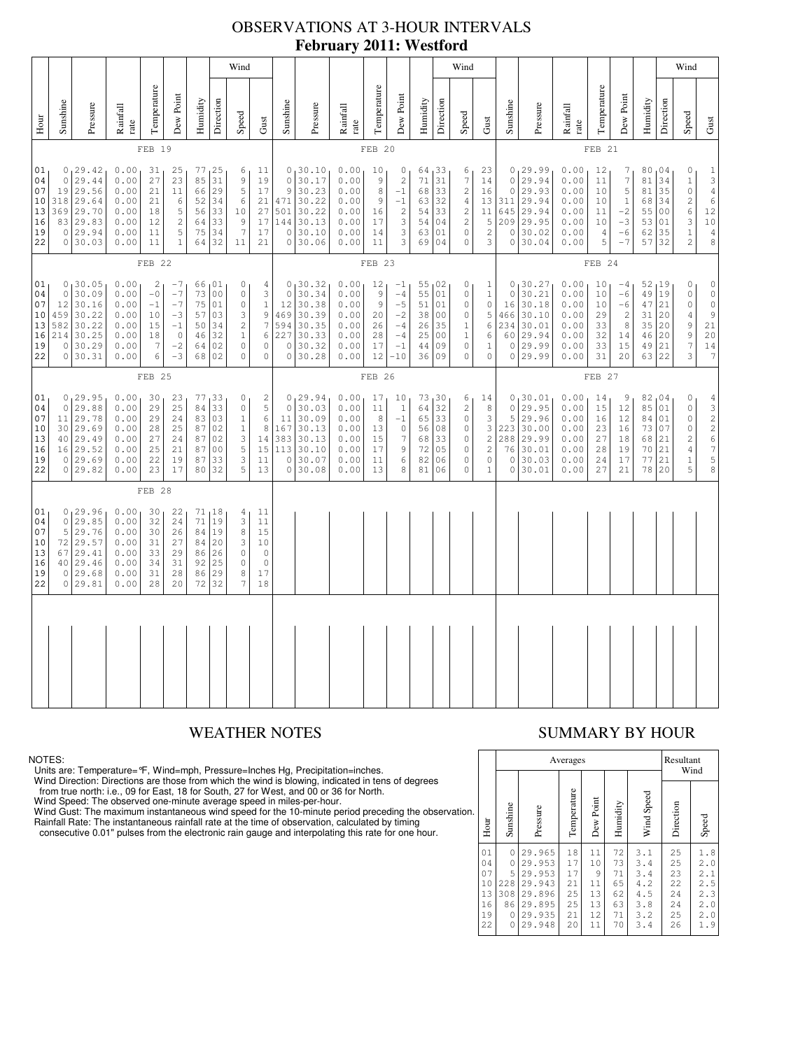# OBSERVATIONS AT 3-HOUR INTERVALS **February 2011: Westford**

|                                                                                                                                                                                                                                                                                                                                                                                                                                                                                                                                                           | Wind                        |                                                                                        |                                                              |                                                    |                                                                 |                                              |                                                                                         |                                                                                                                  |                                                                                                                |                                                                                    |                                                                                     |                                                              |                                                                                                              |                                                                         | Wind                                                                         |                                                                         |                                                                                                               |                                                                                                    |                                                                            |                                                                           |                                                              |                                                                                                             |                                                                                                       | Wind                                             |                                                 |                                                                                                         |                                                                                                    |
|-----------------------------------------------------------------------------------------------------------------------------------------------------------------------------------------------------------------------------------------------------------------------------------------------------------------------------------------------------------------------------------------------------------------------------------------------------------------------------------------------------------------------------------------------------------|-----------------------------|----------------------------------------------------------------------------------------|--------------------------------------------------------------|----------------------------------------------------|-----------------------------------------------------------------|----------------------------------------------|-----------------------------------------------------------------------------------------|------------------------------------------------------------------------------------------------------------------|----------------------------------------------------------------------------------------------------------------|------------------------------------------------------------------------------------|-------------------------------------------------------------------------------------|--------------------------------------------------------------|--------------------------------------------------------------------------------------------------------------|-------------------------------------------------------------------------|------------------------------------------------------------------------------|-------------------------------------------------------------------------|---------------------------------------------------------------------------------------------------------------|----------------------------------------------------------------------------------------------------|----------------------------------------------------------------------------|---------------------------------------------------------------------------|--------------------------------------------------------------|-------------------------------------------------------------------------------------------------------------|-------------------------------------------------------------------------------------------------------|--------------------------------------------------|-------------------------------------------------|---------------------------------------------------------------------------------------------------------|----------------------------------------------------------------------------------------------------|
| Hour                                                                                                                                                                                                                                                                                                                                                                                                                                                                                                                                                      | Sunshine                    | Pressure                                                                               | Rainfall<br>rate                                             | Temperature                                        | Dew Point                                                       | Humidity                                     | Direction                                                                               | Speed                                                                                                            | $\mbox{Gust}$                                                                                                  | Sunshine                                                                           | Pressure                                                                            | Rainfall<br>rate                                             | Temperature                                                                                                  | Dew Point                                                               | Humidity                                                                     | Direction                                                               | Speed                                                                                                         | Gust                                                                                               | Sunshine                                                                   | Pressure                                                                  | Rainfall<br>rate                                             | Temperature                                                                                                 | Dew Point                                                                                             | Humidity                                         | Direction                                       | Speed                                                                                                   | $\mbox{Gust}$                                                                                      |
|                                                                                                                                                                                                                                                                                                                                                                                                                                                                                                                                                           |                             |                                                                                        |                                                              | FEB 19                                             |                                                                 |                                              |                                                                                         |                                                                                                                  |                                                                                                                |                                                                                    |                                                                                     |                                                              | FEB 20                                                                                                       |                                                                         |                                                                              |                                                                         |                                                                                                               |                                                                                                    | FEB 21                                                                     |                                                                           |                                                              |                                                                                                             |                                                                                                       |                                                  |                                                 |                                                                                                         |                                                                                                    |
| 0, 29.42<br>0.00<br>77<br>25<br>01<br>31<br>25<br>6<br>11<br>29.44<br>31<br>04<br>$\circ$<br>0.00<br>27<br>23<br>85<br>9<br>19<br>29.56<br>5<br>07<br>19<br>0.00<br>11<br>66<br>29<br>17<br>21<br>318 29.64<br>10<br>0.00<br>$\epsilon$<br>52<br>34<br>6<br>21<br>21<br>13<br>369<br>29.70<br>0.00<br>5<br>33<br>27<br>18<br>56<br>10<br>$\sqrt{2}$<br>83 29.83<br>0.00<br>12<br>33<br>9<br>17<br>16<br>64<br>5<br>$\overline{7}$<br>0 29.94<br>0.00<br>34<br>19<br>11<br>75<br>17<br>22<br>$\mathbf{1}$<br>32<br>0 30.03<br>0.00<br>11<br>64<br>11<br>21 |                             |                                                                                        |                                                              |                                                    |                                                                 | $\circ$<br>9<br>$\circ$                      | 0, 30.10<br>30.17<br>30.23<br>471 30.22<br>$501$ 30.22<br>144 30.13<br>30.10<br>0 30.06 | 0.00<br>0.00<br>0.00<br>0.00<br>0.00<br>0.00<br>0.00<br>0.00                                                     | 10<br>9<br>8<br>9<br>16<br>17<br>14<br>11                                                                      | 0<br>$\sqrt{2}$<br>$-1$<br>$-1$<br>$\frac{2}{3}$<br>$\ensuremath{\mathsf{3}}$<br>3 | 64,33<br>71<br>68<br>63<br>54<br>54<br>63<br>69                                     | 31<br>33<br>32<br>33<br>04<br>01<br>04                       | 6<br>$\boldsymbol{\tau}$<br>$\overline{\mathbf{c}}$<br>$\sqrt{4}$<br>$\frac{2}{2}$<br>$\mathbb O$<br>$\circ$ | 23<br>14<br>16<br>11<br>5<br>$\sqrt{2}$<br>3                            | $\mathsf{O}\xspace$<br>$\circ$<br>13 311<br>645<br>209<br>$\circ$<br>$\circ$ | 0, 29.99<br>29.94<br>29.93<br>29.94<br>29.94<br>29.95<br>30.02<br>30.04 | 0.00<br>0.00<br>0.00<br>0.00<br>0.00<br>0.00<br>0.00<br>0.00                                                  | 12<br>11<br>10<br>10<br>11<br>10<br>$\overline{4}$<br>5                                            | 7<br>$\boldsymbol{7}$<br>5<br>$\mathbf{1}$<br>$-2$<br>$-3$<br>$-6$<br>$-7$ | 80,04<br>81<br>81<br>68<br>55<br>53<br>62<br>57                           | 34<br>35<br>34<br>0 <sub>0</sub><br>01<br>35<br>32           | 0<br>$1\,$<br>$\circ$<br>$\sqrt{2}$<br>$\epsilon$<br>$\ensuremath{\mathsf{3}}$<br>$\,1\,$<br>$\overline{c}$ | $\begin{array}{c} 1 \\ 3 \\ 4 \end{array}$<br>$\overline{6}$<br>$1\,2$<br>10<br>$\sqrt{4}$<br>$\,8\,$ |                                                  |                                                 |                                                                                                         |                                                                                                    |
|                                                                                                                                                                                                                                                                                                                                                                                                                                                                                                                                                           | FEB 22                      |                                                                                        |                                                              |                                                    |                                                                 |                                              |                                                                                         |                                                                                                                  |                                                                                                                | FEB 23                                                                             |                                                                                     |                                                              |                                                                                                              |                                                                         |                                                                              |                                                                         |                                                                                                               |                                                                                                    | FEB 24                                                                     |                                                                           |                                                              |                                                                                                             |                                                                                                       |                                                  |                                                 |                                                                                                         |                                                                                                    |
| 01<br>04<br>07<br>10<br>13<br>16<br>19<br>22                                                                                                                                                                                                                                                                                                                                                                                                                                                                                                              | $\circ$<br>12<br>459<br>214 | 0, 30.05<br>30.09<br>30.16<br>30.22<br>582 30.22<br>30.25<br>0 30.29<br>0 30.31        | 0.00<br>0.00<br>0.00<br>0.00<br>0.00<br>0.00<br>0.00<br>0.00 | 2<br>$-0$<br>$-1$<br>10<br>15<br>18<br>$\tau$<br>6 | $-7$<br>$-7$<br>$-7$<br>$-3$<br>$-1$<br>$\circ$<br>$-2$<br>$-3$ | 73<br>75<br>57<br>50<br>46<br>64<br>68       | 66,01<br>0 <sub>0</sub><br>01<br>03<br>34<br>32<br>02<br>02                             | $\circ$<br>$\circ$<br>$\mathbb O$<br>3<br>$\sqrt{2}$<br>$\,1$<br>$\mathbb O$<br>$\circ$                          | $\overline{4}$<br>$\ensuremath{\mathsf{3}}$<br>$\,1\,$<br>9<br>$\boldsymbol{7}$<br>6<br>$\mathbb O$<br>$\circ$ | $\circ$<br>12<br>469                                                               | 0, 30.32<br>30.34<br>30.38<br>30.39<br>594 30.35<br>227 30.33<br>0 30.32<br>0 30.28 | 0.00<br>0.00<br>0.00<br>0.00<br>0.00<br>0.00<br>0.00<br>0.00 | 12<br>9<br>$\overline{9}$<br>20<br>26<br>28<br>17<br>12                                                      | $-1$<br>$-4$<br>$-5$<br>$-2$<br>$-4$<br>$-4$<br>$-1$<br>$-10$           | 55,02<br>55<br>51<br>38<br>26<br>25<br>44<br>36                              | 01<br>01<br>00<br>35<br>00<br>09<br>09                                  | 0<br>$\mathbb O$<br>$\circ$<br>$\mathbb O$<br>$\mathbf{1}$<br>$\mathbf{1}$<br>$\mathbb O$<br>$\mathbf 0$      | 1<br>$1\,$<br>$\circ$<br>5<br>6<br>6<br>$1\,$<br>$\mathbb O$                                       | $\circ$<br>16<br>466<br>234<br>60<br>$\circ$                               | 0, 30.27<br>30.21<br>30.18<br>30.10<br>30.01<br>29.94<br>29.99<br>0 29.99 | 0.00<br>0.00<br>0.00<br>0.00<br>0.00<br>0.00<br>0.00<br>0.00 | 10<br>10<br>10<br>29<br>33<br>32<br>33<br>31                                                                | $-4$<br>$-6$<br>$-6$<br>$\sqrt{2}$<br>8<br>14<br>15<br>20                                             | 52,19<br>49<br>47<br>31<br>35<br>46<br>49<br>631 | 19<br>21<br>20<br>$20$<br>20<br>21<br>22        | $\circ$<br>$\circ$<br>$\mathbb O$<br>$\overline{4}$<br>$\overline{9}$<br>$\,9$<br>$\boldsymbol{7}$<br>3 | $\begin{smallmatrix}0\\0\\0\end{smallmatrix}$<br>$\mathbb O$<br>$\mathsf 9$<br>21<br>20<br>14<br>7 |
|                                                                                                                                                                                                                                                                                                                                                                                                                                                                                                                                                           |                             |                                                                                        |                                                              | FEB 25                                             |                                                                 |                                              |                                                                                         |                                                                                                                  |                                                                                                                |                                                                                    | FEB 26                                                                              |                                                              |                                                                                                              |                                                                         |                                                                              |                                                                         |                                                                                                               | FEB 27                                                                                             |                                                                            |                                                                           |                                                              |                                                                                                             |                                                                                                       |                                                  |                                                 |                                                                                                         |                                                                                                    |
| 01<br>04<br>07<br>10<br>13<br>16<br>19<br>22                                                                                                                                                                                                                                                                                                                                                                                                                                                                                                              | 11                          | 0, 29.95<br>0 29.88<br>29.78<br>30 29.69<br>40 29.49<br>16 29.52<br>0 29.69<br>0 29.82 | 0.00<br>0.00<br>0.00<br>0.00<br>0.00<br>0.00<br>0.00<br>0.00 | 30<br>29<br>29<br>28<br>27<br>25<br>22<br>23       | 23<br>25<br>24<br>25<br>24<br>21<br>19<br>17                    | 77<br>84<br>83<br>87<br>87<br>87<br>87<br>80 | 33<br>33<br>03<br>02<br>02<br>0 <sub>0</sub><br>33<br>32                                | $\circ$<br>$\mathsf{O}\xspace$<br>$\,1\,$<br>$\mathbf{1}$<br>$\mathsf 3$<br>5<br>3<br>5                          | $\mathbf{2}$<br>5<br>$\epsilon$<br>$^{\rm 8}$<br>14<br>15<br>11<br>13                                          | $\circ$<br>11<br>167<br> 113<br>$\circ$                                            | 0, 29.94<br>30.03<br>30.09<br>30.13<br>383 30.13<br>30.10<br>30.07<br>0 30.08       | 0.00<br>0.00<br>0.00<br>0.00<br>0.00<br>0.00<br>0.00<br>0.00 | 17<br>11<br>8<br>13<br>15<br>17<br>11<br>13                                                                  | 10<br>$\,1\,$<br>$-1$<br>$\circ$<br>$\boldsymbol{7}$<br>$\,9$<br>6<br>8 | 64<br>65<br>56<br>68<br>72<br>82<br>81                                       | 73,30<br>32<br>33<br>08<br>33<br>05<br>06<br>06                         | 6<br>$\sqrt{2}$<br>$\mathbb O$<br>$\mathbb O$<br>$\mathbb O$<br>$\mathsf{O}\xspace$<br>$\mathbb O$<br>$\circ$ | 14<br>8<br>$\ensuremath{\mathsf{3}}$<br>3<br>$\mathbf{2}$<br>$\sqrt{2}$<br>$\circ$<br>$\mathbf{1}$ | $\circ$<br>5<br>223<br>288<br>76<br>$\circ$<br>$\circ$                     | 0, 30.01<br>29.95<br>29.96<br>30.00<br>29.99<br>30.01<br>30.03<br>30.01   | 0.00<br>0.00<br>0.00<br>0.00<br>0.00<br>0.00<br>0.00<br>0.00 | 14<br>15<br>16<br>23<br>27<br>28<br>24<br>27                                                                | $\overline{9}$<br>12<br>12<br>16<br>18<br>19<br>17<br>21                                              | 82,04<br>85<br>84<br>73<br>68<br>70<br>77<br>78  | 01<br>01<br>07<br>21<br>$2\sqrt{1}$<br>21<br>20 | $\circ$<br>$\circ$<br>$\mathbb O$<br>$\mathbb O$<br>$\sqrt{2}$<br>$\overline{4}$<br>$\,1\,$<br>5        | 432267<br>$\begin{array}{c} 5 \\ 8 \end{array}$                                                    |
|                                                                                                                                                                                                                                                                                                                                                                                                                                                                                                                                                           |                             |                                                                                        |                                                              | FEB 28                                             |                                                                 |                                              |                                                                                         |                                                                                                                  |                                                                                                                |                                                                                    |                                                                                     |                                                              |                                                                                                              |                                                                         |                                                                              |                                                                         |                                                                                                               |                                                                                                    |                                                                            |                                                                           |                                                              |                                                                                                             |                                                                                                       |                                                  |                                                 |                                                                                                         |                                                                                                    |
| 01<br>04<br>07<br>10<br>13<br>16<br>19<br>22                                                                                                                                                                                                                                                                                                                                                                                                                                                                                                              | $\circ$<br>5<br>72<br>67    | 0, 29.96<br>29.85<br>29.76<br>29.57<br>29.41<br>40 29.46<br>0 29.68<br>0 29.81         | 0.00<br>0.00<br>0.00<br>0.00<br>0.00<br>0.00<br>0.00<br>0.00 | 30<br>32<br>30<br>31<br>33<br>34<br>31<br>28       | 22<br>24<br>26<br>27<br>29<br>31<br>28<br>20                    | 71<br>84<br>84<br>86<br>92<br>86<br>72       | 71, 18<br>19<br>19<br>20<br>26<br>25<br>29<br>32                                        | $\overline{4}$<br>3<br>$\,8\,$<br>$\ensuremath{\mathsf{3}}$<br>$\mathbb O$<br>$\mathbb O$<br>8<br>$\overline{7}$ | 11<br>11<br>15<br>10<br>$\circ$<br>$\mathbb O$<br>17<br>18                                                     |                                                                                    |                                                                                     |                                                              |                                                                                                              |                                                                         |                                                                              |                                                                         |                                                                                                               |                                                                                                    |                                                                            |                                                                           |                                                              |                                                                                                             |                                                                                                       |                                                  |                                                 |                                                                                                         |                                                                                                    |
|                                                                                                                                                                                                                                                                                                                                                                                                                                                                                                                                                           |                             |                                                                                        |                                                              |                                                    |                                                                 |                                              |                                                                                         |                                                                                                                  |                                                                                                                |                                                                                    |                                                                                     |                                                              |                                                                                                              |                                                                         |                                                                              |                                                                         |                                                                                                               |                                                                                                    |                                                                            |                                                                           |                                                              |                                                                                                             |                                                                                                       |                                                  |                                                 |                                                                                                         |                                                                                                    |
|                                                                                                                                                                                                                                                                                                                                                                                                                                                                                                                                                           |                             |                                                                                        |                                                              |                                                    |                                                                 |                                              |                                                                                         |                                                                                                                  |                                                                                                                |                                                                                    |                                                                                     |                                                              |                                                                                                              |                                                                         |                                                                              |                                                                         |                                                                                                               |                                                                                                    |                                                                            |                                                                           |                                                              |                                                                                                             |                                                                                                       |                                                  |                                                 |                                                                                                         |                                                                                                    |

### NOTES:

Units are: Temperature=°F, Wind=mph, Pressure=Inches Hg, Precipitation=inches.

Wind Direction: Directions are those from which the wind is blowing, indicated in tens of degrees<br>from true north: i.e., 09 for East, 18 for South, 27 for West, and 00 or 36 for North.<br>Wind Speed: The observed one-minute a

Wind Gust: The maximum instantaneous wind speed for the 10-minute period preceding the observation Rainfall Rate: The instantaneous rainfall rate at the time of observation, calculated by timing

consecutive 0.01" pulses from the electronic rain gauge and interpolating this rate for one hour.

# WEATHER NOTES SUMMARY BY HOUR

|    |                                              |                                                            |                                                                              | Averages                                     |                                             |                                              | Resultant                                            | Wind                                         |                                                      |
|----|----------------------------------------------|------------------------------------------------------------|------------------------------------------------------------------------------|----------------------------------------------|---------------------------------------------|----------------------------------------------|------------------------------------------------------|----------------------------------------------|------------------------------------------------------|
| ì. | Hour                                         | Sunshine                                                   | Pressure                                                                     | Temperature                                  | Dew Point                                   | Humidity                                     | Wind Speed                                           | Direction                                    | Speed                                                |
|    | 01<br>04<br>07<br>10<br>13<br>16<br>19<br>22 | $\mathbf 0$<br>$\Omega$<br>5<br>228<br>308<br>86<br>0<br>0 | 29.965<br>29.953<br>29.953<br>29.943<br>29.896<br>29.895<br>29.935<br>29.948 | 18<br>17<br>17<br>21<br>25<br>25<br>21<br>20 | 11<br>10<br>9<br>11<br>13<br>13<br>12<br>11 | 72<br>73<br>71<br>65<br>62<br>63<br>71<br>70 | 3.1<br>3.4<br>3.4<br>4.2<br>4.5<br>3.8<br>3.2<br>3.4 | 25<br>25<br>23<br>22<br>24<br>24<br>25<br>26 | 1.8<br>2.0<br>2.1<br>2.5<br>2.3<br>2.0<br>2.0<br>1.9 |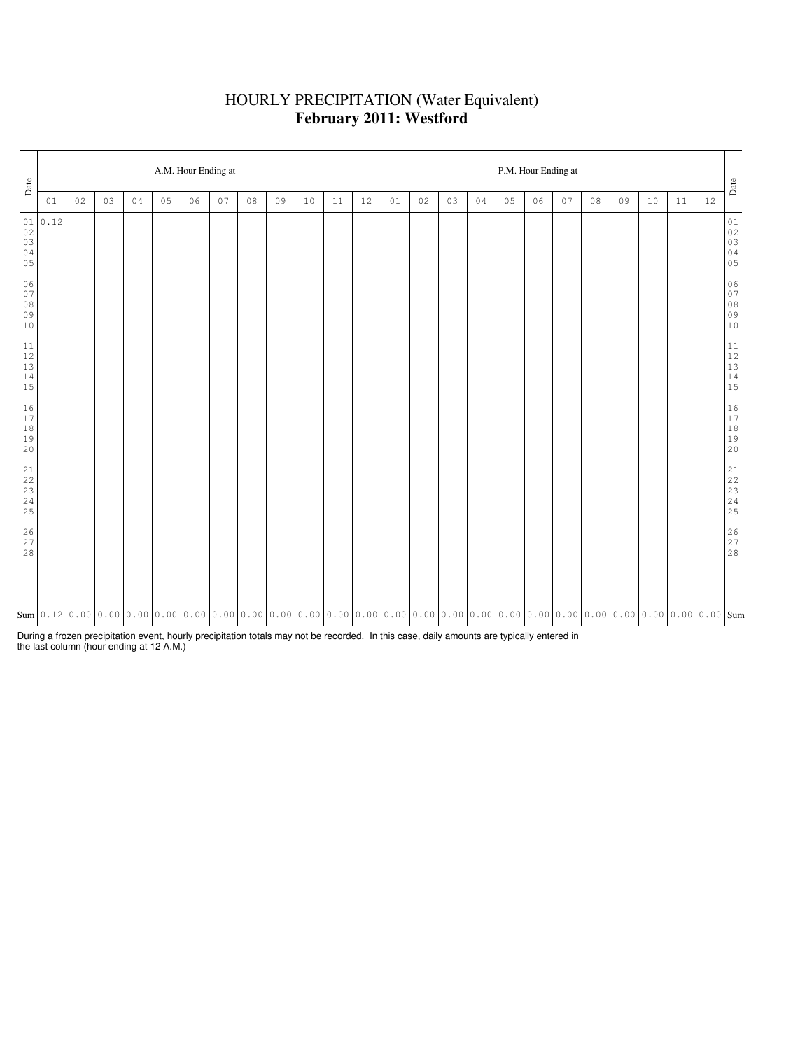# HOURLY PRECIPITATION (Water Equivalent) **February 2011: Westford**

| Date                                                      | A.M. Hour Ending at |    |    |    |                |    |    |    |    |      |    |    |    |    | P.M. Hour Ending at |                                                                                                                                                                                                                             |    |    |    |    |    |    |    |      |                                                           |  |  |  |
|-----------------------------------------------------------|---------------------|----|----|----|----------------|----|----|----|----|------|----|----|----|----|---------------------|-----------------------------------------------------------------------------------------------------------------------------------------------------------------------------------------------------------------------------|----|----|----|----|----|----|----|------|-----------------------------------------------------------|--|--|--|
|                                                           | 01                  | 02 | 03 | 04 | 0 <sub>5</sub> | 06 | 07 | 08 | 09 | $10$ | 11 | 12 | 01 | 02 | 03                  | 04                                                                                                                                                                                                                          | 05 | 06 | 07 | 08 | 09 | 10 | 11 | $12$ | $_{\mbox{\textbf{Date}}}$                                 |  |  |  |
| 01<br>$0\,2$<br>03<br>04<br>05                            | 0.12                |    |    |    |                |    |    |    |    |      |    |    |    |    |                     |                                                                                                                                                                                                                             |    |    |    |    |    |    |    |      | $0\,1$<br>$02$<br>03<br>03<br>04<br>05                    |  |  |  |
| 06<br>07<br>$0\,8$<br>09<br>10                            |                     |    |    |    |                |    |    |    |    |      |    |    |    |    |                     |                                                                                                                                                                                                                             |    |    |    |    |    |    |    |      | $0\,6$<br>07<br>08<br>09<br>09<br>10                      |  |  |  |
| 11<br>$12$<br>$13$<br>$1\,4$<br>15                        |                     |    |    |    |                |    |    |    |    |      |    |    |    |    |                     |                                                                                                                                                                                                                             |    |    |    |    |    |    |    |      | $\begin{array}{c} 11 \\ 12 \\ 13 \\ 14 \\ 15 \end{array}$ |  |  |  |
| 16<br>$17$<br>$1\,8$<br>19<br>20                          |                     |    |    |    |                |    |    |    |    |      |    |    |    |    |                     |                                                                                                                                                                                                                             |    |    |    |    |    |    |    |      | $\begin{array}{c} 16 \\ 17 \\ 18 \\ 19 \\ 20 \end{array}$ |  |  |  |
| $\begin{array}{c} 21 \\ 22 \end{array}$<br>23<br>24<br>25 |                     |    |    |    |                |    |    |    |    |      |    |    |    |    |                     |                                                                                                                                                                                                                             |    |    |    |    |    |    |    |      | $\begin{array}{l} 21 \\ 22 \\ 23 \\ 24 \\ 25 \end{array}$ |  |  |  |
| $\frac{26}{27}$<br>28                                     |                     |    |    |    |                |    |    |    |    |      |    |    |    |    |                     |                                                                                                                                                                                                                             |    |    |    |    |    |    |    |      | $\begin{array}{c} 26 \\ 27 \\ 28 \end{array}$             |  |  |  |
|                                                           |                     |    |    |    |                |    |    |    |    |      |    |    |    |    |                     | Sum   0 . 12   0 . 00   0 . 00   0 . 00   0 . 00   0 . 00   0 . 00   0 . 00   0 . 00   0 . 00   0 . 00   0 . 00   0 . 00   0 . 00   0 . 00   0 . 00   0 . 00   0 . 00   0 . 00   0 . 00   0 . 00   0 . 00   0 . 00   0 . 00 |    |    |    |    |    |    |    |      |                                                           |  |  |  |

During a frozen precipitation event, hourly precipitation totals may not be recorded. In this case, daily amounts are typically entered in the last column (hour ending at 12 A.M.)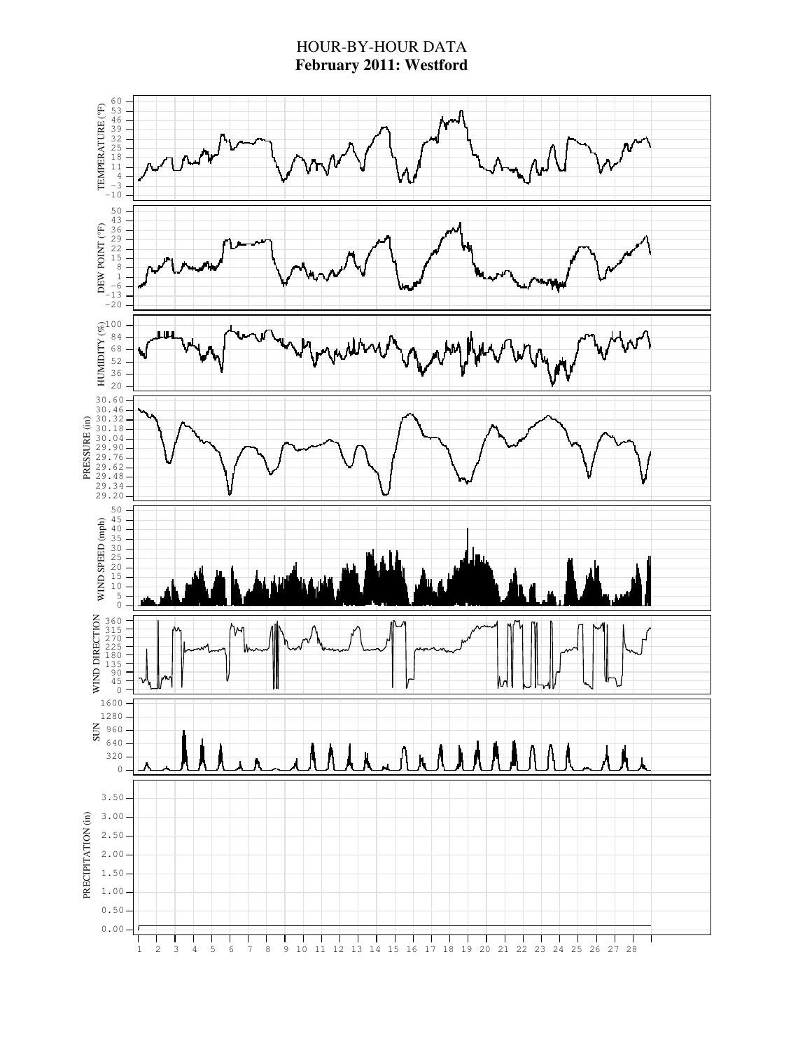# HOUR-BY-HOUR DATA **February 2011: Westford**